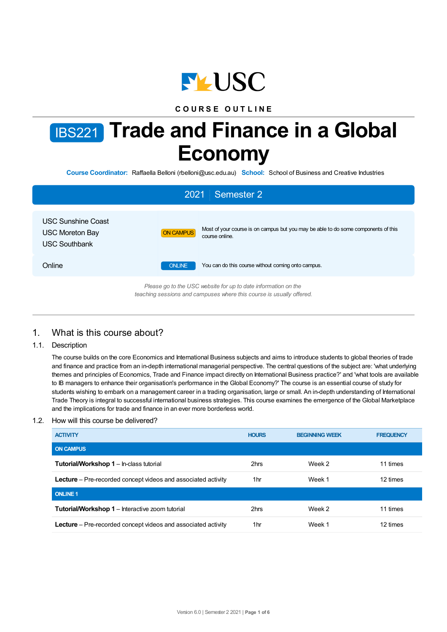

## **C O U R S E O U T L I N E**

# IBS221 **Trade and Finance in a Global Economy**

**Course Coordinator:** Raffaella Belloni (rbelloni@usc.edu.au) **School:** School of Business and Creative Industries

| <b>Semester 2</b><br>2021                                                                                                              |                  |                                                                                                      |  |  |
|----------------------------------------------------------------------------------------------------------------------------------------|------------------|------------------------------------------------------------------------------------------------------|--|--|
| <b>USC Sunshine Coast</b><br>USC Moreton Bay<br><b>USC Southbank</b>                                                                   | <b>ON CAMPUS</b> | Most of your course is on campus but you may be able to do some components of this<br>course online. |  |  |
| Online                                                                                                                                 | <b>ONLINE</b>    | You can do this course without coming onto campus.                                                   |  |  |
| Please go to the USC website for up to date information on the<br>teaching sessions and campuses where this course is usually offered. |                  |                                                                                                      |  |  |

# 1. What is this course about?

1.1. Description

The course builds on the core Economics and International Business subjects and aims to introduce students to global theories of trade and finance and practice from an in-depth international managerial perspective. The central questions of the subject are: 'what underlying themes and principles of Economics, Trade and Finance impact directly on International Business practice?' and 'what tools are available to IB managers to enhance their organisation's performance in the Global Economy?' The course is an essential course of study for students wishing to embark on a management career in a trading organisation, large or small. An in-depth understanding of International Trade Theory is integral to successful international business strategies. This course examines the emergence of the Global Marketplace and the implications for trade and finance in an ever more borderless world.

#### 1.2. How will this course be delivered?

| <b>ACTIVITY</b>                                                      | <b>HOURS</b> | <b>BEGINNING WEEK</b> | <b>FREQUENCY</b> |
|----------------------------------------------------------------------|--------------|-----------------------|------------------|
| <b>ON CAMPUS</b>                                                     |              |                       |                  |
| <b>Tutorial/Workshop 1 - In-class tutorial</b>                       | 2hrs         | Week 2                | 11 times         |
| <b>Lecture</b> – Pre-recorded concept videos and associated activity | 1hr          | Week 1                | 12 times         |
| <b>ONLINE 1</b>                                                      |              |                       |                  |
| <b>Tutorial/Workshop 1 – Interactive zoom tutorial</b>               | 2hrs         | Week 2                | 11 times         |
| <b>Lecture</b> – Pre-recorded concept videos and associated activity | 1hr          | Week 1                | 12 times         |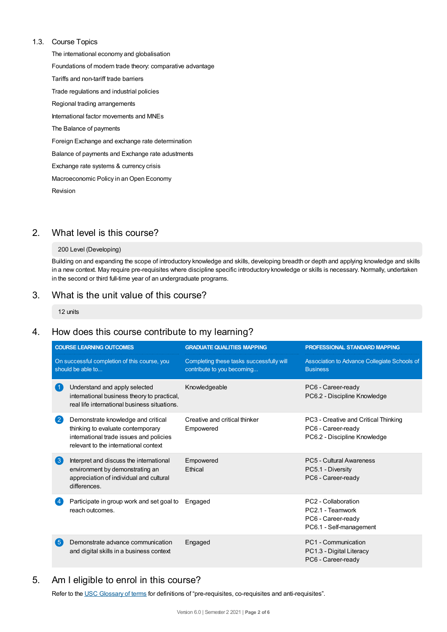#### 1.3. Course Topics

The international economy and globalisation Foundations of modern trade theory: comparative advantage Tariffs and non-tariff trade barriers Trade regulations and industrial policies Regional trading arrangements International factor movements and MNEs The Balance of payments Foreign Exchange and exchange rate determination Balance of payments and Exchange rate adustments Exchange rate systems & currency crisis Macroeconomic Policy in an Open Economy Revision

# 2. What level is this course?

#### 200 Level (Developing)

Building on and expanding the scope of introductory knowledge and skills, developing breadth or depth and applying knowledge and skills in a new context. May require pre-requisites where discipline specific introductory knowledge or skills is necessary. Normally, undertaken in the second or third full-time year of an undergraduate programs.

# 3. What is the unit value of this course?

12 units

# 4. How does this course contribute to my learning?

|                                                                   | <b>COURSE LEARNING OUTCOMES</b>                                                                                                                             | <b>GRADUATE QUALITIES MAPPING</b>                                      | <b>PROFESSIONAL STANDARD MAPPING</b>                                                       |
|-------------------------------------------------------------------|-------------------------------------------------------------------------------------------------------------------------------------------------------------|------------------------------------------------------------------------|--------------------------------------------------------------------------------------------|
| On successful completion of this course, you<br>should be able to |                                                                                                                                                             | Completing these tasks successfully will<br>contribute to you becoming | Association to Advance Collegiate Schools of<br><b>Business</b>                            |
|                                                                   | Understand and apply selected<br>international business theory to practical,<br>real life international business situations.                                | Knowledgeable                                                          | PC6 - Career-ready<br>PC6.2 - Discipline Knowledge                                         |
| $\overline{2}$                                                    | Demonstrate knowledge and critical<br>thinking to evaluate contemporary<br>international trade issues and policies<br>relevant to the international context | Creative and critical thinker<br>Empowered                             | PC3 - Creative and Critical Thinking<br>PC6 - Career-ready<br>PC6.2 - Discipline Knowledge |
| $\left( 3\right)$                                                 | Interpret and discuss the international<br>environment by demonstrating an<br>appreciation of individual and cultural<br>differences.                       | Empowered<br><b>F</b> thical                                           | PC5 - Cultural Awareness<br>PC5.1 - Diversity<br>PC6 - Career-ready                        |
|                                                                   | Participate in group work and set goal to<br>reach outcomes.                                                                                                | Engaged                                                                | PC2 - Collaboration<br>PC2.1 - Teamwork<br>PC6 - Career-ready<br>PC6.1 - Self-management   |
| 5                                                                 | Demonstrate advance communication<br>and digital skills in a business context                                                                               | Engaged                                                                | PC1 - Communication<br>PC1.3 - Digital Literacy<br>PC6 - Career-ready                      |

# 5. Am Ieligible to enrol in this course?

Refer to the USC [Glossary](https://www.usc.edu.au/about/policies-and-procedures/glossary-of-terms-for-policy-and-procedures) of terms for definitions of "pre-requisites, co-requisites and anti-requisites".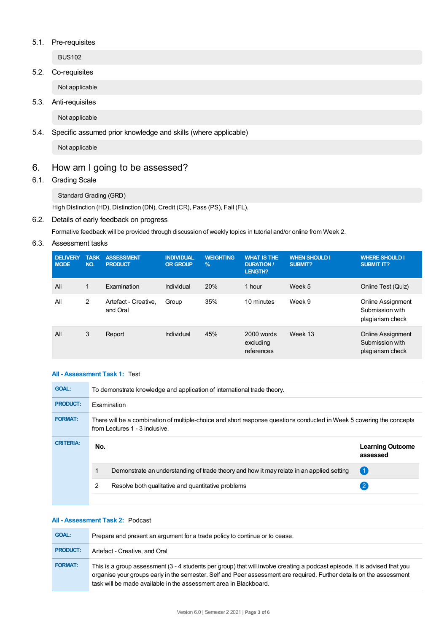#### 5.1. Pre-requisites

BUS102

## 5.2. Co-requisites

Not applicable

## 5.3. Anti-requisites

Not applicable

## 5.4. Specific assumed prior knowledge and skills (where applicable)

Not applicable

# 6. How am Igoing to be assessed?

## 6.1. Grading Scale

Standard Grading (GRD)

High Distinction (HD), Distinction (DN), Credit (CR), Pass (PS), Fail (FL).

## 6.2. Details of early feedback on progress

Formative feedback will be provided through discussion of weekly topics in tutorial and/or online from Week 2.

## 6.3. Assessment tasks

| <b>DELIVERY</b><br><b>MODE</b> | <b>TASK</b><br>NO. | <b>ASSESSMENT</b><br><b>PRODUCT</b> | <b>INDIVIDUAL</b><br><b>OR GROUP</b> | <b>WEIGHTING</b><br>$\frac{9}{6}$ | <b>WHAT IS THE</b><br><b>DURATION /</b><br><b>LENGTH?</b> | <b>WHEN SHOULD I</b><br>SUBMIT? | <b>WHERE SHOULD I</b><br><b>SUBMIT IT?</b>                      |
|--------------------------------|--------------------|-------------------------------------|--------------------------------------|-----------------------------------|-----------------------------------------------------------|---------------------------------|-----------------------------------------------------------------|
| All                            | $\mathbf{1}$       | Examination                         | Individual                           | 20%                               | 1 hour                                                    | Week 5                          | Online Test (Quiz)                                              |
| All                            | 2                  | Artefact - Creative.<br>and Oral    | Group                                | 35%                               | 10 minutes                                                | Week 9                          | Online Assignment<br>Submission with<br>plagiarism check        |
| All                            | 3                  | Report                              | Individual                           | 45%                               | $2000$ words<br>excluding<br>references                   | Week 13                         | <b>Online Assignment</b><br>Submission with<br>plagiarism check |

## **All - Assessment Task 1:** Test

| <b>GOAL:</b>     | To demonstrate knowledge and application of international trade theory.                                                                                 |                                     |  |
|------------------|---------------------------------------------------------------------------------------------------------------------------------------------------------|-------------------------------------|--|
| <b>PRODUCT:</b>  | Examination                                                                                                                                             |                                     |  |
| <b>FORMAT:</b>   | There will be a combination of multiple-choice and short response questions conducted in Week 5 covering the concepts<br>from Lectures 1 - 3 inclusive. |                                     |  |
|                  |                                                                                                                                                         |                                     |  |
| <b>CRITERIA:</b> | No.                                                                                                                                                     | <b>Learning Outcome</b><br>assessed |  |
|                  | Demonstrate an understanding of trade theory and how it may relate in an applied setting                                                                | $\left( 1 \right)$                  |  |
|                  | 2<br>Resolve both qualitative and quantitative problems                                                                                                 | 2                                   |  |

#### **All - Assessment Task 2:** Podcast

| <b>GOAL:</b>    | Prepare and present an argument for a trade policy to continue or to cease.                                                                                                                                                                                                                                             |
|-----------------|-------------------------------------------------------------------------------------------------------------------------------------------------------------------------------------------------------------------------------------------------------------------------------------------------------------------------|
| <b>PRODUCT:</b> | Artefact - Creative, and Oral                                                                                                                                                                                                                                                                                           |
| <b>FORMAT:</b>  | This is a group assessment (3 - 4 students per group) that will involve creating a podcast episode. It is advised that you<br>organise your groups early in the semester. Self and Peer assessment are required. Further details on the assessment<br>task will be made available in the assessment area in Blackboard. |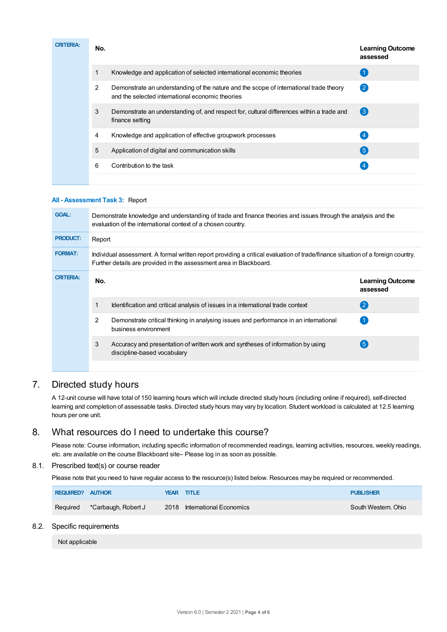| <b>CRITERIA:</b> | No. |                                                                                                                                            | <b>Learning Outcome</b><br>assessed |
|------------------|-----|--------------------------------------------------------------------------------------------------------------------------------------------|-------------------------------------|
|                  |     | Knowledge and application of selected international economic theories                                                                      |                                     |
|                  | 2   | Demonstrate an understanding of the nature and the scope of international trade theory<br>and the selected international economic theories | $\left( 2\right)$                   |
|                  | 3   | Demonstrate an understanding of, and respect for, cultural differences within a trade and<br>finance setting                               | $\left( 3 \right)$                  |
|                  | 4   | Knowledge and application of effective groupwork processes                                                                                 | $\overline{4}$                      |
|                  | 5   | Application of digital and communication skills                                                                                            | $\left(5\right)$                    |
|                  | 6   | Contribution to the task                                                                                                                   |                                     |
|                  |     |                                                                                                                                            |                                     |

#### **All - Assessment Task 3:** Report

| <b>GOAL:</b>     | Demonstrate knowledge and understanding of trade and finance theories and issues through the analysis and the<br>evaluation of the international context of a chosen country. |                                                                                                                                                                                                       |                                     |  |  |  |
|------------------|-------------------------------------------------------------------------------------------------------------------------------------------------------------------------------|-------------------------------------------------------------------------------------------------------------------------------------------------------------------------------------------------------|-------------------------------------|--|--|--|
| <b>PRODUCT:</b>  | Report                                                                                                                                                                        |                                                                                                                                                                                                       |                                     |  |  |  |
| <b>FORMAT:</b>   |                                                                                                                                                                               | Individual assessment. A formal written report providing a critical evaluation of trade/finance situation of a foreign country.<br>Further details are provided in the assessment area in Blackboard. |                                     |  |  |  |
| <b>CRITERIA:</b> | No.                                                                                                                                                                           |                                                                                                                                                                                                       | <b>Learning Outcome</b><br>assessed |  |  |  |
|                  |                                                                                                                                                                               | Identification and critical analysis of issues in a international trade context                                                                                                                       | $\overline{2}$                      |  |  |  |
|                  | $\overline{2}$                                                                                                                                                                | Demonstrate critical thinking in analysing issues and performance in an international<br>business environment                                                                                         |                                     |  |  |  |
|                  | 3                                                                                                                                                                             | Accuracy and presentation of written work and syntheses of information by using<br>discipline-based vocabulary                                                                                        | $5^{\circ}$                         |  |  |  |
|                  |                                                                                                                                                                               |                                                                                                                                                                                                       |                                     |  |  |  |

# 7. Directed study hours

A 12-unit course will have total of 150 learning hours which will include directed study hours (including online if required), self-directed learning and completion of assessable tasks. Directed study hours may vary by location. Student workload is calculated at 12.5 learning hours per one unit.

# 8. What resources do I need to undertake this course?

Please note: Course information, including specific information of recommended readings, learning activities, resources, weekly readings, etc. are available on the course Blackboard site– Please log in as soon as possible.

### 8.1. Prescribed text(s) or course reader

Please note that you need to have regular access to the resource(s) listed below. Resources may be required or recommended.

| <b>REQUIRED? AUTHOR</b> |                     | YEAR TITLE                   | <b>PUBLISHER</b>    |
|-------------------------|---------------------|------------------------------|---------------------|
| Required                | *Carbaugh, Robert J | 2018 International Economics | South Western, Ohio |

#### 8.2. Specific requirements

Not applicable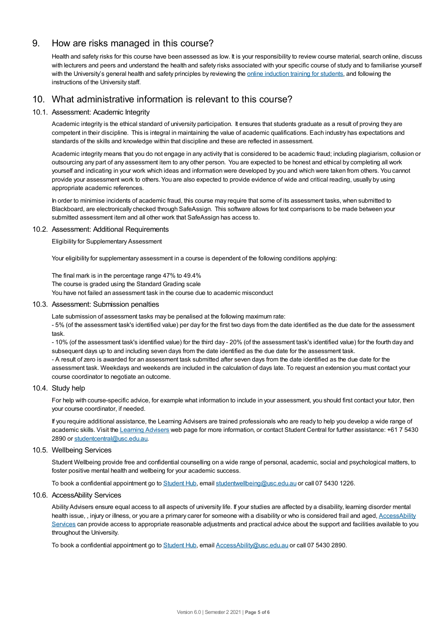# 9. How are risks managed in this course?

Health and safety risks for this course have been assessed as low. It is your responsibility to review course material, search online, discuss with lecturers and peers and understand the health and safety risks associated with your specific course of study and to familiarise yourself with the University's general health and safety principles by reviewing the online [induction](https://online.usc.edu.au/webapps/blackboard/content/listContentEditable.jsp?content_id=_632657_1&course_id=_14432_1) training for students, and following the instructions of the University staff.

# 10. What administrative information is relevant to this course?

#### 10.1. Assessment: Academic Integrity

Academic integrity is the ethical standard of university participation. It ensures that students graduate as a result of proving they are competent in their discipline. This is integral in maintaining the value of academic qualifications. Each industry has expectations and standards of the skills and knowledge within that discipline and these are reflected in assessment.

Academic integrity means that you do not engage in any activity that is considered to be academic fraud; including plagiarism, collusion or outsourcing any part of any assessment item to any other person. You are expected to be honest and ethical by completing all work yourself and indicating in your work which ideas and information were developed by you and which were taken from others. You cannot provide your assessment work to others.You are also expected to provide evidence of wide and critical reading, usually by using appropriate academic references.

In order to minimise incidents of academic fraud, this course may require that some of its assessment tasks, when submitted to Blackboard, are electronically checked through SafeAssign. This software allows for text comparisons to be made between your submitted assessment item and all other work that SafeAssign has access to.

#### 10.2. Assessment: Additional Requirements

Eligibility for Supplementary Assessment

Your eligibility for supplementary assessment in a course is dependent of the following conditions applying:

The final mark is in the percentage range 47% to 49.4%

The course is graded using the Standard Grading scale

You have not failed an assessment task in the course due to academic misconduct

#### 10.3. Assessment: Submission penalties

Late submission of assessment tasks may be penalised at the following maximum rate:

- 5% (of the assessment task's identified value) per day for the first two days from the date identified as the due date for the assessment task.

- 10% (of the assessment task's identified value) for the third day - 20% (of the assessment task's identified value) for the fourth day and subsequent days up to and including seven days from the date identified as the due date for the assessment task.

- A result of zero is awarded for an assessment task submitted after seven days from the date identified as the due date for the assessment task. Weekdays and weekends are included in the calculation of days late. To request an extension you must contact your course coordinator to negotiate an outcome.

#### 10.4. Study help

For help with course-specific advice, for example what information to include in your assessment, you should first contact your tutor, then your course coordinator, if needed.

If you require additional assistance, the Learning Advisers are trained professionals who are ready to help you develop a wide range of academic skills. Visit the Learning [Advisers](https://www.usc.edu.au/current-students/student-support/academic-and-study-support/learning-advisers) web page for more information, or contact Student Central for further assistance: +61 7 5430 2890 or [studentcentral@usc.edu.au](mailto:studentcentral@usc.edu.au).

#### 10.5. Wellbeing Services

Student Wellbeing provide free and confidential counselling on a wide range of personal, academic, social and psychological matters, to foster positive mental health and wellbeing for your academic success.

To book a confidential appointment go to [Student](https://studenthub.usc.edu.au/) Hub, email [studentwellbeing@usc.edu.au](mailto:studentwellbeing@usc.edu.au) or call 07 5430 1226.

#### 10.6. AccessAbility Services

Ability Advisers ensure equal access to all aspects of university life. If your studies are affected by a disability, learning disorder mental health issue, , injury or illness, or you are a primary carer for someone with a disability or who is considered frail and aged, [AccessAbility](https://www.usc.edu.au/learn/student-support/accessability-services/documentation-requirements) Services can provide access to appropriate reasonable adjustments and practical advice about the support and facilities available to you throughout the University.

To book a confidential appointment go to [Student](https://studenthub.usc.edu.au/) Hub, email [AccessAbility@usc.edu.au](mailto:AccessAbility@usc.edu.au) or call 07 5430 2890.